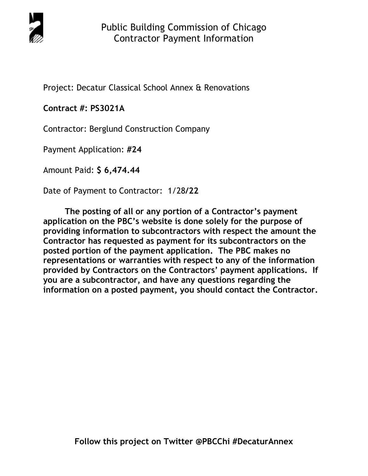

Project: Decatur Classical School Annex & Renovations

## **Contract #: PS3021A**

Contractor: Berglund Construction Company

Payment Application: **#24** 

Amount Paid: **\$ 6,474.44** 

Date of Payment to Contractor: 1/28**/22** 

**The posting of all or any portion of a Contractor's payment application on the PBC's website is done solely for the purpose of providing information to subcontractors with respect the amount the Contractor has requested as payment for its subcontractors on the posted portion of the payment application. The PBC makes no representations or warranties with respect to any of the information provided by Contractors on the Contractors' payment applications. If you are a subcontractor, and have any questions regarding the information on a posted payment, you should contact the Contractor.**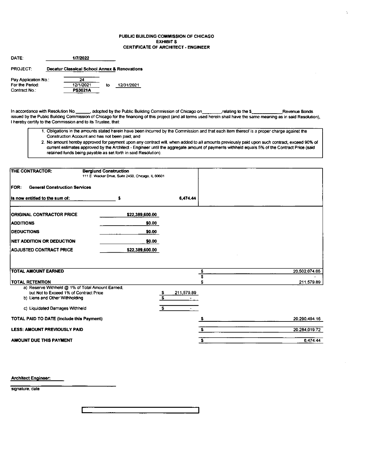### PUBLIC BUILDING COMMISSION OF CHICAGO **EXHIBITS CERTIFICATE OF ARCHITECT - ENGINEER**

| DATE:                | 1/7/2022       |    |                                              |
|----------------------|----------------|----|----------------------------------------------|
| <b>PROJECT:</b>      |                |    | Decatur Classical School Annex & Renovations |
| Pay Application No.: | 24             |    |                                              |
| For the Period:      | 12/1/2021      | to | 12/31/2021                                   |
| Contract No.:        | <b>PS3021A</b> |    |                                              |

, adopted by the Public Building Commission of Chicago on In accordance with Resolution No. relating to the \$ Revenue Bonds issued by the Public Building Commission of Chicago for the financing of this project (and all terms used herein shall have the same meaning as in said Resolution), I hereby certify to the Commission and to its Trustee, that:

- 1. Obligations in the amounts stated herein have been incurred by the Commission and that each item thereof is a proper charge against the Construction Account and has not been paid; and
- 2. No amount hereby approved for payment upon any contract will, when added to all amounts previously paid upon such contract, exceed 90% of current estimates approved by the Architect - Engineer until the aggregate amount of payments withheld equals 5% of the Contract Price (said retained funds being payable as set forth in said Resolution).

| THE CONTRACTOR:                                                          | <b>Berglund Construction</b><br>111 E. Wacker Drive, Suite 2450, Chicago, IL 60601 |                               |               |
|--------------------------------------------------------------------------|------------------------------------------------------------------------------------|-------------------------------|---------------|
| <b>General Construction Services</b><br><b>FOR:</b>                      |                                                                                    |                               |               |
| Is now entitled to the sum of:                                           | \$                                                                                 | 6.474.44                      |               |
| ORIGINAL CONTRACTOR PRICE                                                | \$22,389,600.00                                                                    |                               |               |
| <b>ADDITIONS</b>                                                         | \$0.00                                                                             |                               |               |
| <b>IDEDUCTIONS</b>                                                       | \$0.00                                                                             |                               |               |
| <b>INET ADDITION OR DEDUCTION</b>                                        | \$0.00                                                                             |                               |               |
| <b>ADJUSTED CONTRACT PRICE</b>                                           | \$22,389,600.00                                                                    |                               |               |
|                                                                          |                                                                                    |                               |               |
| <b>TOTAL AMOUNT EARNED</b>                                               |                                                                                    | \$                            | 20,502,074.05 |
| <b>TOTAL RETENTION</b>                                                   |                                                                                    | $\overline{\mathbf{s}}$       | 211 579.89    |
| a) Reserve Withheld @ 1% of Total Amount Earned,                         |                                                                                    |                               |               |
| but Not to Exceed 1% of Contract Price<br>b) Liens and Other Withholding |                                                                                    | 211,579.89<br>$\bullet$<br>s. |               |
| c) Liquidated Damages Withheld                                           |                                                                                    | $\mathbf{S}$                  |               |
| TOTAL PAID TO DATE (Include this Payment)                                |                                                                                    |                               | 20,290,494.16 |
| <b>LESS: AMOUNT PREVIOUSLY PAID</b>                                      |                                                                                    | s                             | 20.284,019.72 |
| AMOUNT DUE THIS PAYMENT                                                  |                                                                                    | \$                            | 6,474.44      |

**Architect Engineer:** 

signature, date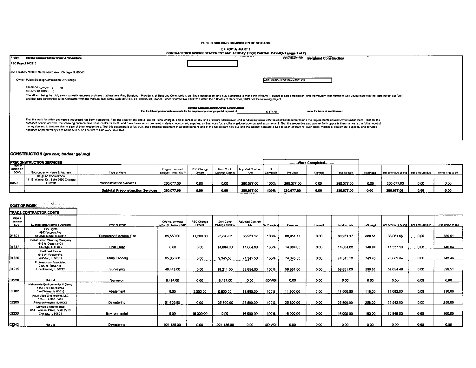PUBLIC BUILDING COMMISSION OF CHICAGO

**EXHIBIT A - PART 1** 

|         |                                                                                 | CONTRACTOR'S SWORN STATEMENT AND AFFIDAVIT FOR PARTIAL PAYMENT (page 1 of 2)                                                                                                                                                                                                                                                                                                                                                                                                                                                                                                                                                                                                                       |                             |                                 |
|---------|---------------------------------------------------------------------------------|----------------------------------------------------------------------------------------------------------------------------------------------------------------------------------------------------------------------------------------------------------------------------------------------------------------------------------------------------------------------------------------------------------------------------------------------------------------------------------------------------------------------------------------------------------------------------------------------------------------------------------------------------------------------------------------------------|-----------------------------|---------------------------------|
| Project | Decetur Cleasical School Annex & Renovations                                    |                                                                                                                                                                                                                                                                                                                                                                                                                                                                                                                                                                                                                                                                                                    | CONTRACTOR                  | <b>Bergiund Construction</b>    |
|         | PBC Project #05215                                                              |                                                                                                                                                                                                                                                                                                                                                                                                                                                                                                                                                                                                                                                                                                    |                             |                                 |
|         | Job Location 7030 N Sacramento Ave., Chicago, IL 60645                          |                                                                                                                                                                                                                                                                                                                                                                                                                                                                                                                                                                                                                                                                                                    |                             |                                 |
|         | Owner Public Building Commission Of Chicago                                     |                                                                                                                                                                                                                                                                                                                                                                                                                                                                                                                                                                                                                                                                                                    | APPLICATION FOR PAYMENT #24 |                                 |
|         | STATE OF ILLINOIS } SS<br>COUNTY OF COOK                                        |                                                                                                                                                                                                                                                                                                                                                                                                                                                                                                                                                                                                                                                                                                    |                             |                                 |
|         |                                                                                 | The affiant, being first duly sworn on oath, deposes and says that he/she is Fred Berglund - President, of Berglund Construction, an illinois corporation, and duly authonzed to make this Affidavit in behalf of said corpora<br>and that said corporation is the Contractor with the PUBLIC BUILDING COMMISSION OF CHICAGO, Owner, under Contract No PS3021A dated the 11th day of December, 2019, for the following project                                                                                                                                                                                                                                                                     |                             |                                 |
|         |                                                                                 | Decetur Cleanical School Annex & Renovations<br>that the following statements are made for the purpose of procuring a partial payment of                                                                                                                                                                                                                                                                                                                                                                                                                                                                                                                                                           | 6.474.44                    | under the terms of sed Contract |
|         | furnished or prepared by each of them to or on account of said work, as stated: | That the work for which payment is requested has been completed, free and clear of any and all claims, liens, charges, and expenses of any kind or nature whatsoever, and in full compliance with the contract documents and t<br>purposes of said contract, the following persons have been contracted with, and have furnished or prepared materials, equipment, supplice, and services for, and having done labor on said improvement. That the respective am<br>money due and to become due to each of them respectively. That this statement is a full, true, and complete statement of all such persons and of the full amount now due and the amount heretofore paid to each of them for su |                             |                                 |

### CONSTRUCTION (pre con; trades; gel req)

|                          | <b>IPRECONSTRUCTION SERVICES</b>                                           |                                   |                                           |                     |                             |                          |          |            | --------Work Completed------- |               |           |                                       |      |                   |
|--------------------------|----------------------------------------------------------------------------|-----------------------------------|-------------------------------------------|---------------------|-----------------------------|--------------------------|----------|------------|-------------------------------|---------------|-----------|---------------------------------------|------|-------------------|
| ਸਾਰਾਸ<br>same on<br>SOV) | Subcontractor Name & Address                                               | Type of Work                      | Onginal contract<br>  amount: initial GMP | PBC Change<br>Orden | Geni Contr<br>Change Orders | Adjusted Contract<br>Amt | Complete | Pravious   | Curren'                       | Total to date | relainane | net previous billing   net amount due |      | remaining to bill |
| 100500                   | Berglund Construction<br>111 E Wacker Dr., Suite 2450 Chicago,<br>IL 60601 | Preconstruction Services          | 280.077.00                                | 0.00                | 0.00                        | 280.077.00               | 100%     | 280.077.00 | 0.00                          | 280,077.00    | 0.00      | 280,077.00                            | 0.00 | 0.00              |
|                          |                                                                            | Subtotal Preconstruction Services | 280,077.00                                | 0.00                | 0.01                        | 280,077.00               | 100%     | 280,077.00 | 0.00                          | 280.077.00    | 0.00      | 280,077.00                            | 0.00 | 0.00              |

### **COST OF WORK**

|                                   | <b>TRADE CONTRACTOR COSTS</b>                                                     |                                  |                                         |                      |                             |                          |                   |           |         |               |           |                                       |      |                   |
|-----------------------------------|-----------------------------------------------------------------------------------|----------------------------------|-----------------------------------------|----------------------|-----------------------------|--------------------------|-------------------|-----------|---------|---------------|-----------|---------------------------------------|------|-------------------|
| <b>TIEM #</b><br>(same on<br>sov) | Subcontractor Name & Address                                                      | Type of Work                     | Original contract<br>amount initial GMP | PBC Change<br>Orders | Geni Contr<br>Change Orders | Adjusted Contract<br>Amt | <b>X</b> Complete | Previous  | Current | Total to date | retainage | net previous billing   net amount due |      | remaining to bill |
| 01601                             | City Lights<br>9993 Virginia Ave<br>Chicago Ridge, IL 60415                       | <b>Temporary Electrical Site</b> | 85,550.00                               | 11,200.00            | $-7,796.83$                 | 88,951.17                | 100%              | 88,951.17 | 0.00    | 88,951.17     | 889.51    | 88.061.66                             | 0.00 | 889.51            |
| 01742                             | Construction Cleaning Company<br>516 N. Ogden #129<br>Chicago, IL 60642           | Final Clean                      | 0.00                                    | 0.00                 | 14,684.00                   | 14,684.00                | 100%              | 14,684.00 | 0.00    | 14.684.00     | 146.84    | 14,537.16                             | 0.00 | 146.84            |
| 01760                             | Built Best Fence<br>615 W. Factory Rd.<br>Addison, IL 60101                       | Temp Fencing                     | 65,000.00                               | 0.00                 | 9 3 4 5 5 0                 | 74.345.50                | 100%              | 74,345.50 | 0.00    | 74.345.50     | 743.46    | 73,602.04                             | 0.00 | 743.46            |
| 01915                             | Professionals Associated<br>7100 N. Tripp Ave.<br>Lincolnwood, IL 60712           | Surveying                        | 40,443.00                               | 0.00                 | 19 211 00                   | 59.654.00                | 100%              | 59.651.00 | 0.00    | 59.651.00     | 596.51    | 59.054.49                             | 0.00 | 599.51            |
| 01920                             | Not i.et                                                                          | Surveyor                         | 8.497.00                                | 0.00                 | $-8.497.00$                 | 0.00                     | #DIV/0!           | 0.00      | 0.00    | 0.00          | 0.00      | 0.00                                  | 0.00 | 0.00              |
| 02182                             | Nationwide Environmental & Demo<br>1153 Lee Street #244<br>Des Plaines, IL 60016  | Abatement                        | 0.00                                    | 5,000.00             | 6,800.00                    | 11,800.00                | 100%              | 11,800.00 | 0.00    | 11,800.00     | 118.00    | 11,682.00                             | 0.00 | 118.00            |
| 02200                             | Aqua Vitae Engineering, LLC<br>125 S. Burton Place<br>Arlington Heights, IL 60005 | Dewatering                       | 51,600.00                               | 0.00                 | $-25,800.00$                | 25,800.00                | 100%              | 25,800.00 | 0.00    | 25,800.00     | 258.00    | 25.542.00                             | 0.00 | 258.00            |
| 02230                             | Carlson Environmental<br>65 E. Wacker Place, Suite 2210<br>Chicago, IL 60601      | Environmental                    | 0.00                                    | 16,000.00            | 0.00                        | 16,000.00                | 100%              | 16,000.00 | 0.00    | 16,000.00     | 160.00    | 15.840.00                             | 0.00 | 160.00            |
| 32242                             | Not Let                                                                           | Dewatering                       | 921,135.00                              | 0.00                 | $-921.135.00$               | 0.00                     | #DIV/0!           | 0.00      | 0.00    | 0.00          | 0.00      | $0.00 -$                              | 0.00 | 0.00              |